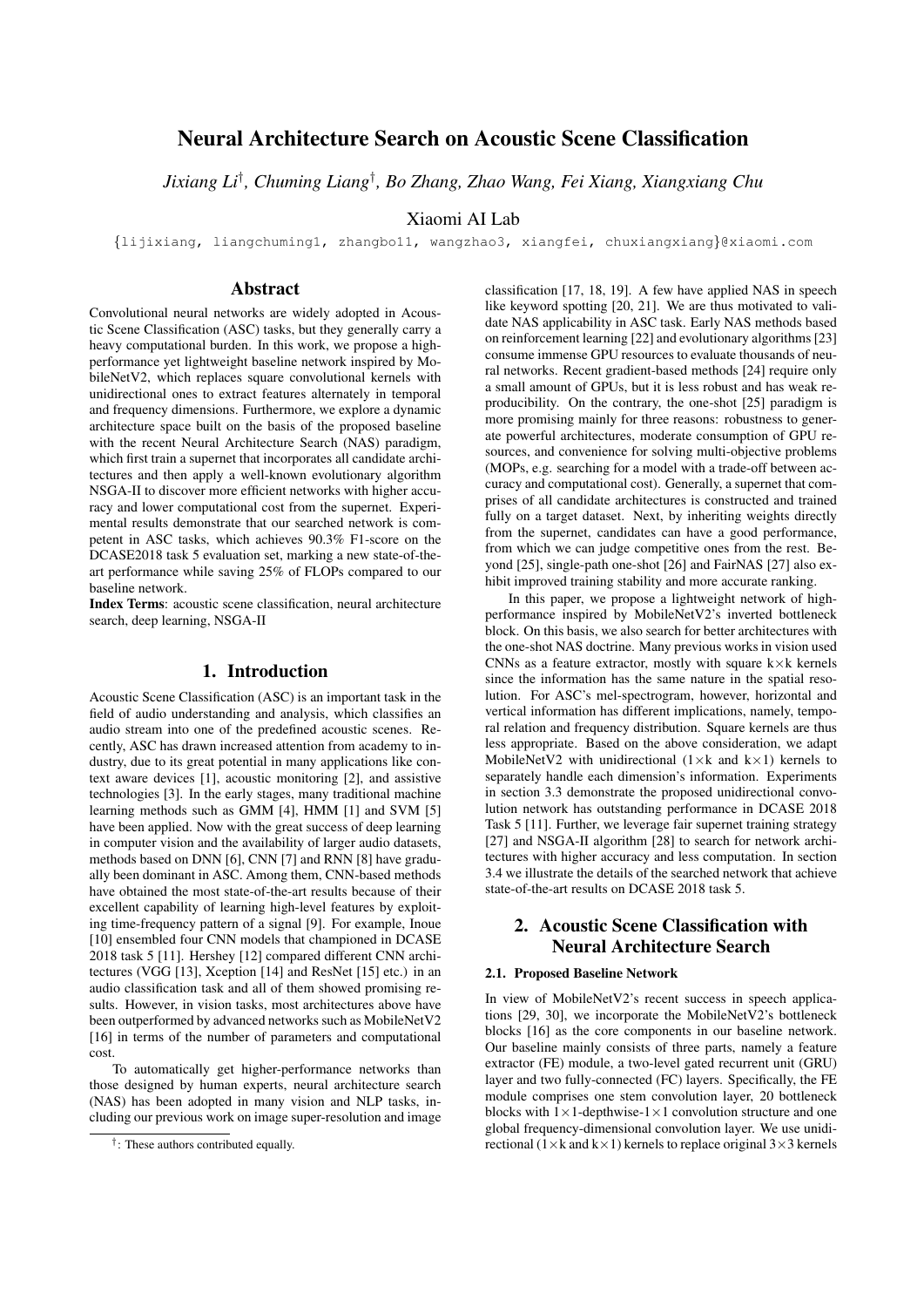# Neural Architecture Search on Acoustic Scene Classification

*Jixiang Li*† *, Chuming Liang*† *, Bo Zhang, Zhao Wang, Fei Xiang, Xiangxiang Chu*

Xiaomi AI Lab

{lijixiang, liangchuming1, zhangbo11, wangzhao3, xiangfei, chuxiangxiang}@xiaomi.com

### Abstract

Convolutional neural networks are widely adopted in Acoustic Scene Classification (ASC) tasks, but they generally carry a heavy computational burden. In this work, we propose a highperformance yet lightweight baseline network inspired by MobileNetV2, which replaces square convolutional kernels with unidirectional ones to extract features alternately in temporal and frequency dimensions. Furthermore, we explore a dynamic architecture space built on the basis of the proposed baseline with the recent Neural Architecture Search (NAS) paradigm, which first train a supernet that incorporates all candidate architectures and then apply a well-known evolutionary algorithm NSGA-II to discover more efficient networks with higher accuracy and lower computational cost from the supernet. Experimental results demonstrate that our searched network is competent in ASC tasks, which achieves 90.3% F1-score on the DCASE2018 task 5 evaluation set, marking a new state-of-theart performance while saving 25% of FLOPs compared to our baseline network.

Index Terms: acoustic scene classification, neural architecture search, deep learning, NSGA-II

### 1. Introduction

Acoustic Scene Classification (ASC) is an important task in the field of audio understanding and analysis, which classifies an audio stream into one of the predefined acoustic scenes. Recently, ASC has drawn increased attention from academy to industry, due to its great potential in many applications like context aware devices [1], acoustic monitoring [2], and assistive technologies [3]. In the early stages, many traditional machine learning methods such as GMM [4], HMM [1] and SVM [5] have been applied. Now with the great success of deep learning in computer vision and the availability of larger audio datasets, methods based on DNN [6], CNN [7] and RNN [8] have gradually been dominant in ASC. Among them, CNN-based methods have obtained the most state-of-the-art results because of their excellent capability of learning high-level features by exploiting time-frequency pattern of a signal [9]. For example, Inoue [10] ensembled four CNN models that championed in DCASE 2018 task 5 [11]. Hershey [12] compared different CNN architectures (VGG [13], Xception [14] and ResNet [15] etc.) in an audio classification task and all of them showed promising results. However, in vision tasks, most architectures above have been outperformed by advanced networks such as MobileNetV2 [16] in terms of the number of parameters and computational cost.

To automatically get higher-performance networks than those designed by human experts, neural architecture search (NAS) has been adopted in many vision and NLP tasks, including our previous work on image super-resolution and image

classification [17, 18, 19]. A few have applied NAS in speech like keyword spotting [20, 21]. We are thus motivated to validate NAS applicability in ASC task. Early NAS methods based on reinforcement learning [22] and evolutionary algorithms [23] consume immense GPU resources to evaluate thousands of neural networks. Recent gradient-based methods [24] require only a small amount of GPUs, but it is less robust and has weak reproducibility. On the contrary, the one-shot [25] paradigm is more promising mainly for three reasons: robustness to generate powerful architectures, moderate consumption of GPU resources, and convenience for solving multi-objective problems (MOPs, e.g. searching for a model with a trade-off between accuracy and computational cost). Generally, a supernet that comprises of all candidate architectures is constructed and trained fully on a target dataset. Next, by inheriting weights directly from the supernet, candidates can have a good performance, from which we can judge competitive ones from the rest. Beyond [25], single-path one-shot [26] and FairNAS [27] also exhibit improved training stability and more accurate ranking.

In this paper, we propose a lightweight network of highperformance inspired by MobileNetV2's inverted bottleneck block. On this basis, we also search for better architectures with the one-shot NAS doctrine. Many previous works in vision used CNNs as a feature extractor, mostly with square  $k \times k$  kernels since the information has the same nature in the spatial resolution. For ASC's mel-spectrogram, however, horizontal and vertical information has different implications, namely, temporal relation and frequency distribution. Square kernels are thus less appropriate. Based on the above consideration, we adapt MobileNetV2 with unidirectional  $(1 \times k$  and  $k \times 1)$  kernels to separately handle each dimension's information. Experiments in section 3.3 demonstrate the proposed unidirectional convolution network has outstanding performance in DCASE 2018 Task 5 [11]. Further, we leverage fair supernet training strategy [27] and NSGA-II algorithm [28] to search for network architectures with higher accuracy and less computation. In section 3.4 we illustrate the details of the searched network that achieve state-of-the-art results on DCASE 2018 task 5.

# 2. Acoustic Scene Classification with Neural Architecture Search

### 2.1. Proposed Baseline Network

In view of MobileNetV2's recent success in speech applications [29, 30], we incorporate the MobileNetV2's bottleneck blocks [16] as the core components in our baseline network. Our baseline mainly consists of three parts, namely a feature extractor (FE) module, a two-level gated recurrent unit (GRU) layer and two fully-connected (FC) layers. Specifically, the FE module comprises one stem convolution layer, 20 bottleneck blocks with  $1 \times 1$ -depthwise- $1 \times 1$  convolution structure and one global frequency-dimensional convolution layer. We use unidirectional  $(1 \times k$  and  $k \times 1)$  kernels to replace original  $3 \times 3$  kernels

<sup>†</sup> : These authors contributed equally.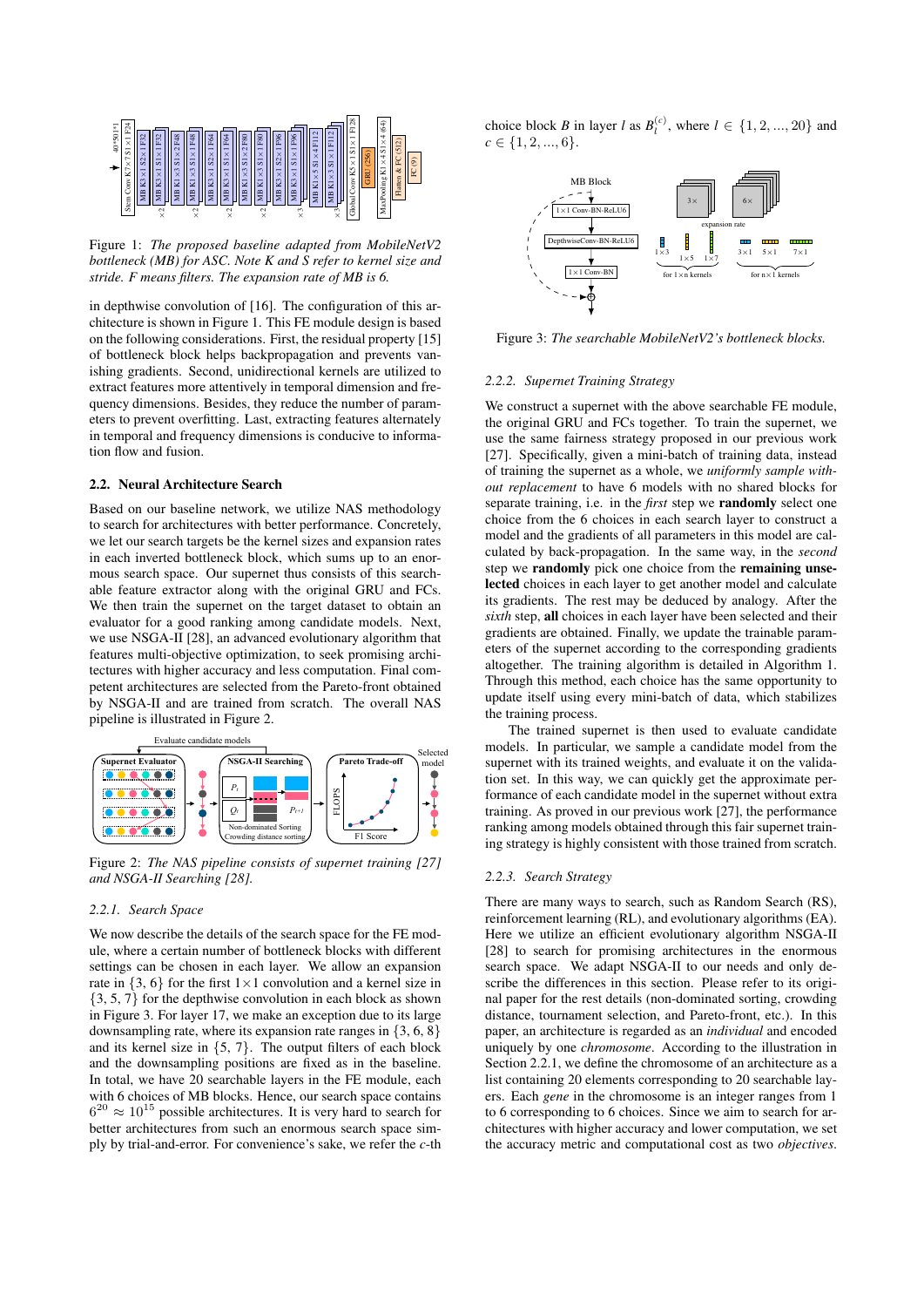

Figure 1: *The proposed baseline adapted from MobileNetV2 bottleneck (MB) for ASC. Note K and S refer to kernel size and stride. F means filters. The expansion rate of MB is 6.*

in depthwise convolution of [16]. The configuration of this architecture is shown in Figure 1. This FE module design is based on the following considerations. First, the residual property [15] of bottleneck block helps backpropagation and prevents vanishing gradients. Second, unidirectional kernels are utilized to extract features more attentively in temporal dimension and frequency dimensions. Besides, they reduce the number of parameters to prevent overfitting. Last, extracting features alternately in temporal and frequency dimensions is conducive to information flow and fusion.

#### 2.2. Neural Architecture Search

Based on our baseline network, we utilize NAS methodology to search for architectures with better performance. Concretely, we let our search targets be the kernel sizes and expansion rates in each inverted bottleneck block, which sums up to an enormous search space. Our supernet thus consists of this searchable feature extractor along with the original GRU and FCs. We then train the supernet on the target dataset to obtain an evaluator for a good ranking among candidate models. Next, we use NSGA-II [28], an advanced evolutionary algorithm that features multi-objective optimization, to seek promising architectures with higher accuracy and less computation. Final competent architectures are selected from the Pareto-front obtained by NSGA-II and are trained from scratch. The overall NAS pipeline is illustrated in Figure 2.



Figure 2: *The NAS pipeline consists of supernet training [27] and NSGA-II Searching [28].*

### *2.2.1. Search Space*

We now describe the details of the search space for the FE module, where a certain number of bottleneck blocks with different settings can be chosen in each layer. We allow an expansion rate in  $\{3, 6\}$  for the first  $1 \times 1$  convolution and a kernel size in {3, 5, 7} for the depthwise convolution in each block as shown in Figure 3. For layer 17, we make an exception due to its large downsampling rate, where its expansion rate ranges in  $\{3, 6, 8\}$ and its kernel size in  $\{5, 7\}$ . The output filters of each block and the downsampling positions are fixed as in the baseline. In total, we have 20 searchable layers in the FE module, each with 6 choices of MB blocks. Hence, our search space contains  $6^{20} \approx 10^{15}$  possible architectures. It is very hard to search for better architectures from such an enormous search space simply by trial-and-error. For convenience's sake, we refer the *c*-th

choice block *B* in layer *l* as  $B_l^{(c)}$ , where  $l \in \{1, 2, ..., 20\}$  and  $c \in \{1, 2, ..., 6\}.$ 



Figure 3: *The searchable MobileNetV2's bottleneck blocks.*

#### *2.2.2. Supernet Training Strategy*

We construct a supernet with the above searchable FE module, the original GRU and FCs together. To train the supernet, we use the same fairness strategy proposed in our previous work [27]. Specifically, given a mini-batch of training data, instead of training the supernet as a whole, we *uniformly sample without replacement* to have 6 models with no shared blocks for separate training, i.e. in the *first* step we randomly select one choice from the 6 choices in each search layer to construct a model and the gradients of all parameters in this model are calculated by back-propagation. In the same way, in the *second* step we randomly pick one choice from the remaining unselected choices in each layer to get another model and calculate its gradients. The rest may be deduced by analogy. After the *sixth* step, all choices in each layer have been selected and their gradients are obtained. Finally, we update the trainable parameters of the supernet according to the corresponding gradients altogether. The training algorithm is detailed in Algorithm 1. Through this method, each choice has the same opportunity to update itself using every mini-batch of data, which stabilizes the training process.

The trained supernet is then used to evaluate candidate models. In particular, we sample a candidate model from the supernet with its trained weights, and evaluate it on the validation set. In this way, we can quickly get the approximate performance of each candidate model in the supernet without extra training. As proved in our previous work [27], the performance ranking among models obtained through this fair supernet training strategy is highly consistent with those trained from scratch.

### *2.2.3. Search Strategy*

There are many ways to search, such as Random Search (RS), reinforcement learning (RL), and evolutionary algorithms (EA). Here we utilize an efficient evolutionary algorithm NSGA-II [28] to search for promising architectures in the enormous search space. We adapt NSGA-II to our needs and only describe the differences in this section. Please refer to its original paper for the rest details (non-dominated sorting, crowding distance, tournament selection, and Pareto-front, etc.). In this paper, an architecture is regarded as an *individual* and encoded uniquely by one *chromosome*. According to the illustration in Section 2.2.1, we define the chromosome of an architecture as a list containing 20 elements corresponding to 20 searchable layers. Each *gene* in the chromosome is an integer ranges from 1 to 6 corresponding to 6 choices. Since we aim to search for architectures with higher accuracy and lower computation, we set the accuracy metric and computational cost as two *objectives*.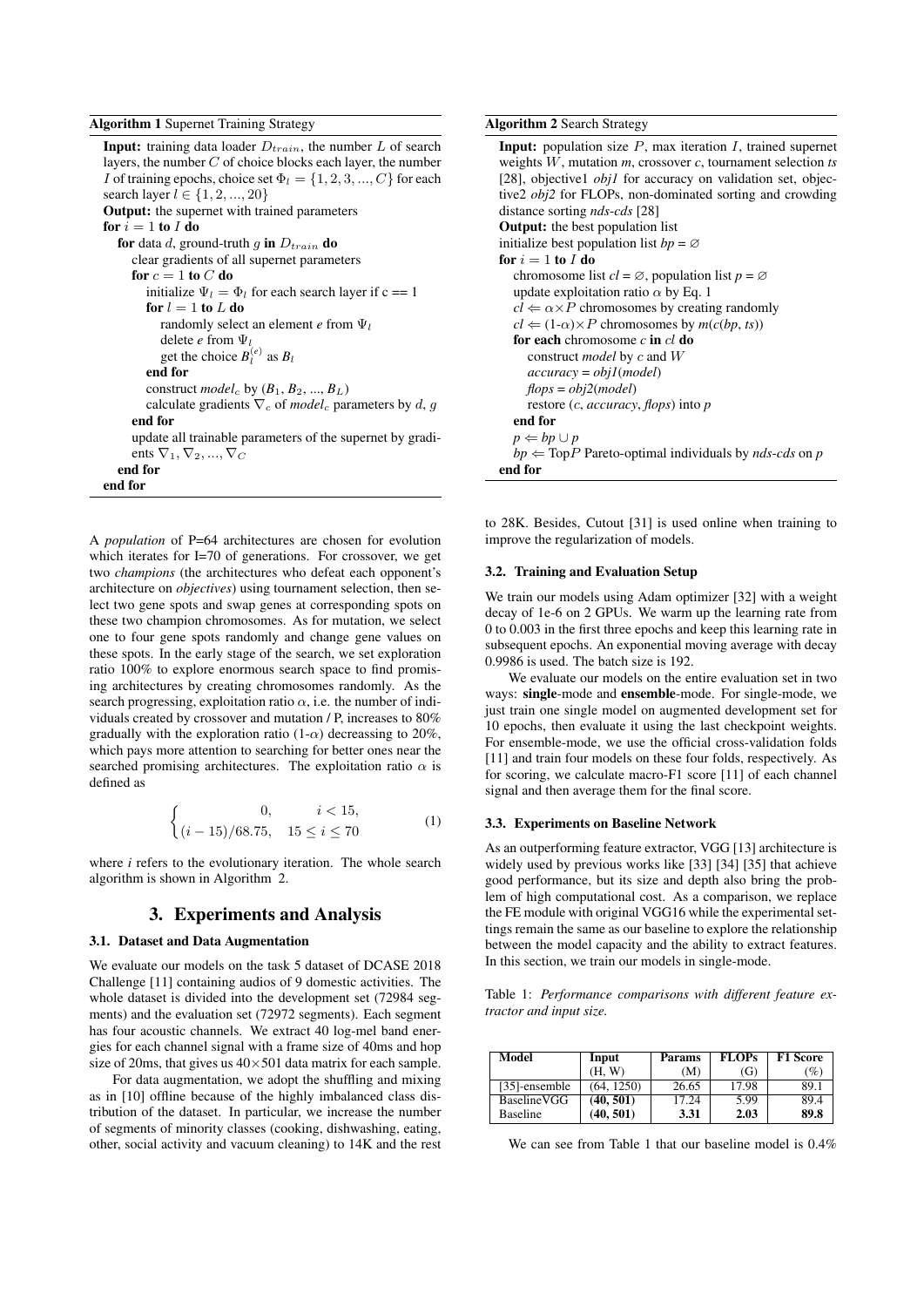#### Algorithm 1 Supernet Training Strategy

**Input:** training data loader  $D_{train}$ , the number L of search layers, the number  $C$  of choice blocks each layer, the number I of training epochs, choice set  $\Phi_l = \{1, 2, 3, ..., C\}$  for each search layer  $l \in \{1, 2, ..., 20\}$ Output: the supernet with trained parameters for  $i = 1$  to  $I$  do for data d, ground-truth g in  $D_{train}$  do clear gradients of all supernet parameters for  $c = 1$  to  $C$  do initialize  $\Psi_l = \Phi_l$  for each search layer if c == 1 for  $l = 1$  to  $L$  do randomly select an element  $e$  from  $\Psi_l$ delete *e* from Ψ<sup>l</sup> get the choice  $B_l^{(e)}$  as  $B_l$ end for construct *model<sub>c</sub>* by  $(B_1, B_2, ..., B_L)$ calculate gradients  $\nabla_c$  of *model<sub>c</sub>* parameters by d, g end for update all trainable parameters of the supernet by gradients  $\nabla_1, \nabla_2, ..., \nabla_C$ end for end for

A *population* of P=64 architectures are chosen for evolution which iterates for I=70 of generations. For crossover, we get two *champions* (the architectures who defeat each opponent's architecture on *objectives*) using tournament selection, then select two gene spots and swap genes at corresponding spots on these two champion chromosomes. As for mutation, we select one to four gene spots randomly and change gene values on these spots. In the early stage of the search, we set exploration ratio 100% to explore enormous search space to find promising architectures by creating chromosomes randomly. As the search progressing, exploitation ratio  $\alpha$ , i.e. the number of individuals created by crossover and mutation / P, increases to 80% gradually with the exploration ratio  $(1-\alpha)$  decreassing to 20%, which pays more attention to searching for better ones near the searched promising architectures. The exploitation ratio  $\alpha$  is defined as

$$
\begin{cases}\n0, & i < 15, \\
(i - 15)/68.75, & 15 \le i \le 70\n\end{cases}
$$
\n(1)

where *i* refers to the evolutionary iteration. The whole search algorithm is shown in Algorithm 2.

### 3. Experiments and Analysis

### 3.1. Dataset and Data Augmentation

We evaluate our models on the task 5 dataset of DCASE 2018 Challenge [11] containing audios of 9 domestic activities. The whole dataset is divided into the development set (72984 segments) and the evaluation set (72972 segments). Each segment has four acoustic channels. We extract 40 log-mel band energies for each channel signal with a frame size of 40ms and hop size of 20ms, that gives us  $40 \times 501$  data matrix for each sample.

For data augmentation, we adopt the shuffling and mixing as in [10] offline because of the highly imbalanced class distribution of the dataset. In particular, we increase the number of segments of minority classes (cooking, dishwashing, eating, other, social activity and vacuum cleaning) to 14K and the rest

#### Algorithm 2 Search Strategy

```
Input: population size P, max iteration I, trained supernet
weights W, mutation m, crossover c, tournament selection ts
[28], objective1 obj1 for accuracy on validation set, objec-
tive2 obj2 for FLOPs, non-dominated sorting and crowding
distance sorting nds-cds [28]
Output: the best population list
initialize best population list bp = \emptysetfor i = 1 to I do
  chromosome list cl = \emptyset, population list p = \emptysetupdate exploitation ratio \alpha by Eq. 1
  cl \Leftarrow \alpha \times P chromosomes by creating randomly
  cl \Leftarrow (1-\alpha) \times P chromosomes by m(c(bp, ts))for each chromosome c in cl do
     construct model by c and W
     accuracy = obj1(model)
    flops = obj2(model)
     restore (c, accuracy, flops) into p
  end for
  p \Leftarrow bp \cup pbp \leftarrow TopP Pareto-optimal individuals by nds-cds on p
end for
```
to 28K. Besides, Cutout [31] is used online when training to improve the regularization of models.

#### 3.2. Training and Evaluation Setup

We train our models using Adam optimizer [32] with a weight decay of 1e-6 on 2 GPUs. We warm up the learning rate from 0 to 0.003 in the first three epochs and keep this learning rate in subsequent epochs. An exponential moving average with decay 0.9986 is used. The batch size is 192.

We evaluate our models on the entire evaluation set in two ways: single-mode and ensemble-mode. For single-mode, we just train one single model on augmented development set for 10 epochs, then evaluate it using the last checkpoint weights. For ensemble-mode, we use the official cross-validation folds [11] and train four models on these four folds, respectively. As for scoring, we calculate macro-F1 score [11] of each channel signal and then average them for the final score.

### 3.3. Experiments on Baseline Network

As an outperforming feature extractor, VGG [13] architecture is widely used by previous works like [33] [34] [35] that achieve good performance, but its size and depth also bring the problem of high computational cost. As a comparison, we replace the FE module with original VGG16 while the experimental settings remain the same as our baseline to explore the relationship between the model capacity and the ability to extract features. In this section, we train our models in single-mode.

Table 1: *Performance comparisons with different feature extractor and input size.*

| Model           | Input      | <b>Params</b> | <b>FLOPs</b> | <b>F1 Score</b> |  |
|-----------------|------------|---------------|--------------|-----------------|--|
|                 | (H. W)     | (M)           | (G)          | (%)             |  |
| [35]-ensemble   | (64, 1250) | 26.65         | 17.98        | 89.1            |  |
| BaselineVGG     | (40, 501)  | 17.24         | 5.99         | 89.4            |  |
| <b>Baseline</b> | (40, 501)  | 3.31          | 2.03         | 89.8            |  |

We can see from Table 1 that our baseline model is 0.4%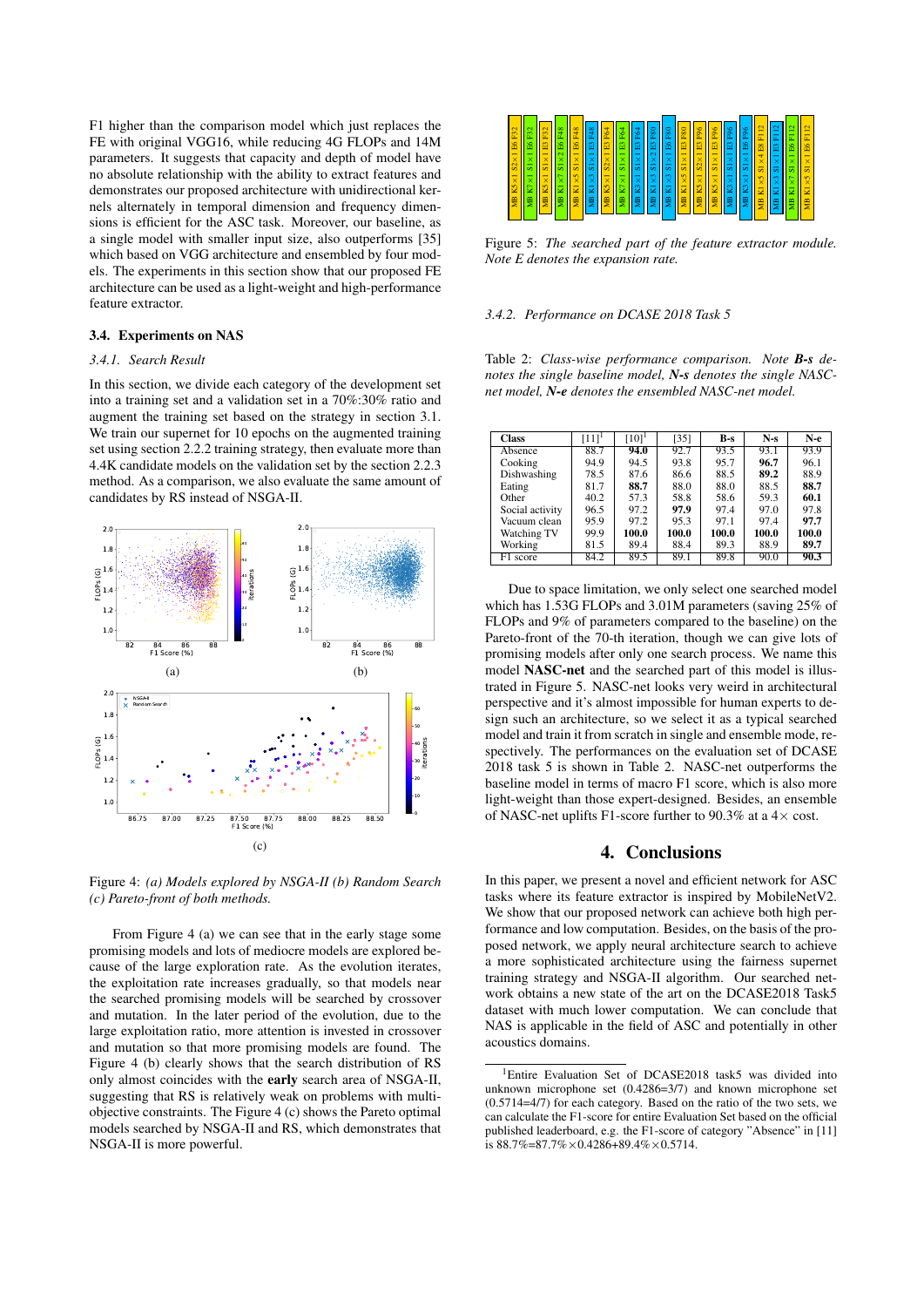F1 higher than the comparison model which just replaces the FE with original VGG16, while reducing 4G FLOPs and 14M parameters. It suggests that capacity and depth of model have no absolute relationship with the ability to extract features and demonstrates our proposed architecture with unidirectional kernels alternately in temporal dimension and frequency dimensions is efficient for the ASC task. Moreover, our baseline, as a single model with smaller input size, also outperforms [35] which based on VGG architecture and ensembled by four models. The experiments in this section show that our proposed FE architecture can be used as a light-weight and high-performance feature extractor.

### 3.4. Experiments on NAS

#### *3.4.1. Search Result*

In this section, we divide each category of the development set into a training set and a validation set in a 70%:30% ratio and augment the training set based on the strategy in section 3.1. We train our supernet for 10 epochs on the augmented training set using section 2.2.2 training strategy, then evaluate more than 4.4K candidate models on the validation set by the section 2.2.3 method. As a comparison, we also evaluate the same amount of candidates by RS instead of NSGA-II.



Figure 4: *(a) Models explored by NSGA-II (b) Random Search (c) Pareto-front of both methods.*

From Figure 4 (a) we can see that in the early stage some promising models and lots of mediocre models are explored because of the large exploration rate. As the evolution iterates, the exploitation rate increases gradually, so that models near the searched promising models will be searched by crossover and mutation. In the later period of the evolution, due to the large exploitation ratio, more attention is invested in crossover and mutation so that more promising models are found. The Figure 4 (b) clearly shows that the search distribution of RS only almost coincides with the early search area of NSGA-II, suggesting that RS is relatively weak on problems with multiobjective constraints. The Figure 4 (c) shows the Pareto optimal models searched by NSGA-II and RS, which demonstrates that NSGA-II is more powerful.



Figure 5: *The searched part of the feature extractor module. Note E denotes the expansion rate.*

#### *3.4.2. Performance on DCASE 2018 Task 5*

Table 2: *Class-wise performance comparison. Note B-s denotes the single baseline model, N-s denotes the single NASCnet model, N-e denotes the ensembled NASC-net model.*

| <b>Class</b>    | $[11]$ <sup>1</sup> | $[10]$ <sup>1</sup> | [35]  | B-s   | $N-s$ | $N-e$ |
|-----------------|---------------------|---------------------|-------|-------|-------|-------|
| Absence         | 88.7                | 94.0                | 92.7  | 93.5  | 93.1  | 93.9  |
| Cooking         | 94.9                | 94.5                | 93.8  | 95.7  | 96.7  | 96.1  |
| Dishwashing     | 78.5                | 87.6                | 86.6  | 88.5  | 89.2  | 88.9  |
| Eating          | 81.7                | 88.7                | 88.0  | 88.0  | 88.5  | 88.7  |
| Other           | 40.2                | 57.3                | 58.8  | 58.6  | 59.3  | 60.1  |
| Social activity | 96.5                | 97.2                | 97.9  | 97.4  | 97.0  | 97.8  |
| Vacuum clean    | 95.9                | 97.2                | 95.3  | 97.1  | 97.4  | 97.7  |
| Watching TV     | 99.9                | 100.0               | 100.0 | 100.0 | 100.0 | 100.0 |
| Working         | 81.5                | 89.4                | 88.4  | 89.3  | 88.9  | 89.7  |
| F1 score        | 84.2                | 89.5                | 89.1  | 89.8  | 90.0  | 90.3  |

Due to space limitation, we only select one searched model which has 1.53G FLOPs and 3.01M parameters (saving 25% of FLOPs and 9% of parameters compared to the baseline) on the Pareto-front of the 70-th iteration, though we can give lots of promising models after only one search process. We name this model NASC-net and the searched part of this model is illustrated in Figure 5. NASC-net looks very weird in architectural perspective and it's almost impossible for human experts to design such an architecture, so we select it as a typical searched model and train it from scratch in single and ensemble mode, respectively. The performances on the evaluation set of DCASE 2018 task 5 is shown in Table 2. NASC-net outperforms the baseline model in terms of macro F1 score, which is also more light-weight than those expert-designed. Besides, an ensemble of NASC-net uplifts F1-score further to 90.3% at a  $4\times$  cost.

# 4. Conclusions

In this paper, we present a novel and efficient network for ASC tasks where its feature extractor is inspired by MobileNetV2. We show that our proposed network can achieve both high performance and low computation. Besides, on the basis of the proposed network, we apply neural architecture search to achieve a more sophisticated architecture using the fairness supernet training strategy and NSGA-II algorithm. Our searched network obtains a new state of the art on the DCASE2018 Task5 dataset with much lower computation. We can conclude that NAS is applicable in the field of ASC and potentially in other acoustics domains.

<sup>&</sup>lt;sup>1</sup>Entire Evaluation Set of DCASE2018 task5 was divided into unknown microphone set (0.4286=3/7) and known microphone set (0.5714=4/7) for each category. Based on the ratio of the two sets, we can calculate the F1-score for entire Evaluation Set based on the official published leaderboard, e.g. the F1-score of category "Absence" in [11] is  $88.7\% = 87.7\% \times 0.4286 + 89.4\% \times 0.5714$ .